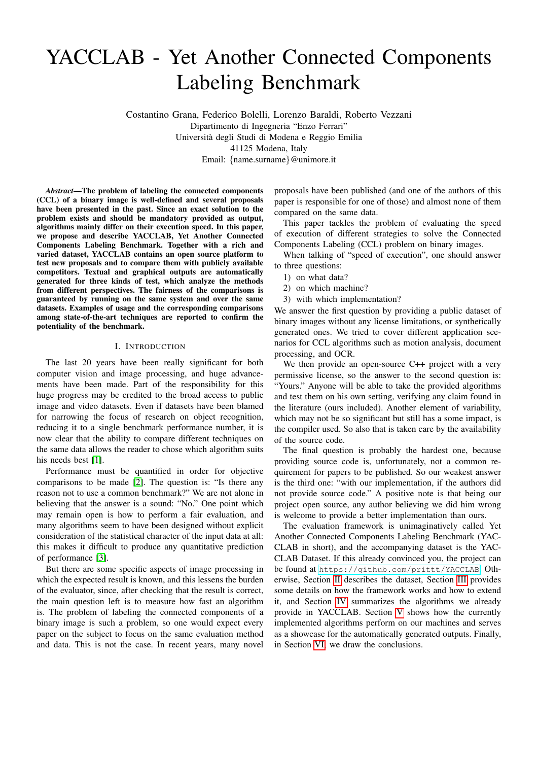# YACCLAB - Yet Another Connected Components Labeling Benchmark

Costantino Grana, Federico Bolelli, Lorenzo Baraldi, Roberto Vezzani Dipartimento di Ingegneria "Enzo Ferrari" Universita degli Studi di Modena e Reggio Emilia ` 41125 Modena, Italy Email: {name.surname}@unimore.it

*Abstract*—The problem of labeling the connected components (CCL) of a binary image is well-defined and several proposals have been presented in the past. Since an exact solution to the problem exists and should be mandatory provided as output, algorithms mainly differ on their execution speed. In this paper, we propose and describe YACCLAB, Yet Another Connected Components Labeling Benchmark. Together with a rich and varied dataset, YACCLAB contains an open source platform to test new proposals and to compare them with publicly available competitors. Textual and graphical outputs are automatically generated for three kinds of test, which analyze the methods from different perspectives. The fairness of the comparisons is guaranteed by running on the same system and over the same datasets. Examples of usage and the corresponding comparisons among state-of-the-art techniques are reported to confirm the potentiality of the benchmark.

#### I. INTRODUCTION

The last 20 years have been really significant for both computer vision and image processing, and huge advancements have been made. Part of the responsibility for this huge progress may be credited to the broad access to public image and video datasets. Even if datasets have been blamed for narrowing the focus of research on object recognition, reducing it to a single benchmark performance number, it is now clear that the ability to compare different techniques on the same data allows the reader to chose which algorithm suits his needs best [\[1\]](#page-5-0).

Performance must be quantified in order for objective comparisons to be made [\[2\]](#page-5-1). The question is: "Is there any reason not to use a common benchmark?" We are not alone in believing that the answer is a sound: "No." One point which may remain open is how to perform a fair evaluation, and many algorithms seem to have been designed without explicit consideration of the statistical character of the input data at all: this makes it difficult to produce any quantitative prediction of performance [\[3\]](#page-5-2).

But there are some specific aspects of image processing in which the expected result is known, and this lessens the burden of the evaluator, since, after checking that the result is correct, the main question left is to measure how fast an algorithm is. The problem of labeling the connected components of a binary image is such a problem, so one would expect every paper on the subject to focus on the same evaluation method and data. This is not the case. In recent years, many novel

proposals have been published (and one of the authors of this paper is responsible for one of those) and almost none of them compared on the same data.

This paper tackles the problem of evaluating the speed of execution of different strategies to solve the Connected Components Labeling (CCL) problem on binary images.

When talking of "speed of execution", one should answer to three questions:

- 1) on what data?
- 2) on which machine?
- 3) with which implementation?

We answer the first question by providing a public dataset of binary images without any license limitations, or synthetically generated ones. We tried to cover different application scenarios for CCL algorithms such as motion analysis, document processing, and OCR.

We then provide an open-source C++ project with a very permissive license, so the answer to the second question is: "Yours." Anyone will be able to take the provided algorithms and test them on his own setting, verifying any claim found in the literature (ours included). Another element of variability, which may not be so significant but still has a some impact, is the compiler used. So also that is taken care by the availability of the source code.

The final question is probably the hardest one, because providing source code is, unfortunately, not a common requirement for papers to be published. So our weakest answer is the third one: "with our implementation, if the authors did not provide source code." A positive note is that being our project open source, any author believing we did him wrong is welcome to provide a better implementation than ours.

The evaluation framework is unimaginatively called Yet Another Connected Components Labeling Benchmark (YAC-CLAB in short), and the accompanying dataset is the YAC-CLAB Dataset. If this already convinced you, the project can be found at <https://github.com/prittt/YACCLAB>. Otherwise, Section [II](#page-1-0) describes the dataset, Section [III](#page-1-1) provides some details on how the framework works and how to extend it, and Section [IV](#page-2-0) summarizes the algorithms we already provide in YACCLAB. Section [V](#page-3-0) shows how the currently implemented algorithms perform on our machines and serves as a showcase for the automatically generated outputs. Finally, in Section [VI,](#page-5-3) we draw the conclusions.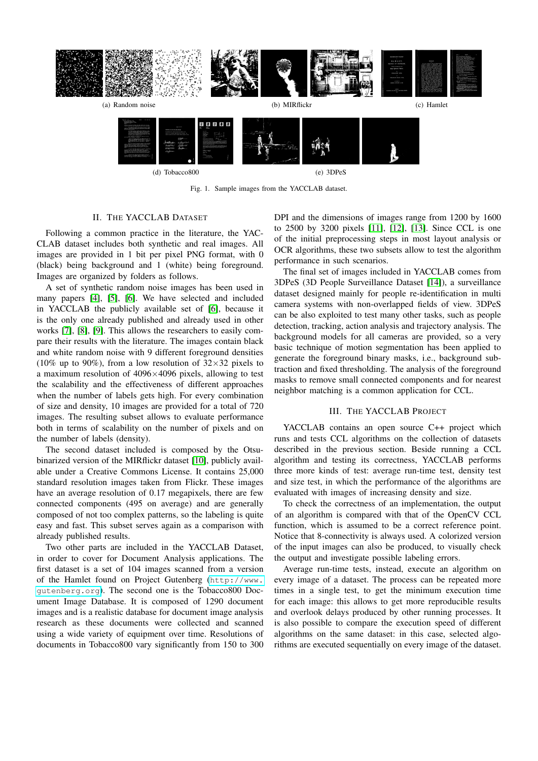

Fig. 1. Sample images from the YACCLAB dataset.

## II. THE YACCLAB DATASET

<span id="page-1-0"></span>Following a common practice in the literature, the YAC-CLAB dataset includes both synthetic and real images. All images are provided in 1 bit per pixel PNG format, with 0 (black) being background and 1 (white) being foreground. Images are organized by folders as follows.

A set of synthetic random noise images has been used in many papers [\[4\]](#page-5-4), [\[5\]](#page-5-5), [\[6\]](#page-5-6). We have selected and included in YACCLAB the publicly available set of [\[6\]](#page-5-6), because it is the only one already published and already used in other works [\[7\]](#page-5-7), [\[8\]](#page-5-8), [\[9\]](#page-5-9). This allows the researchers to easily compare their results with the literature. The images contain black and white random noise with 9 different foreground densities (10% up to 90%), from a low resolution of  $32\times32$  pixels to a maximum resolution of 4096×4096 pixels, allowing to test the scalability and the effectiveness of different approaches when the number of labels gets high. For every combination of size and density, 10 images are provided for a total of 720 images. The resulting subset allows to evaluate performance both in terms of scalability on the number of pixels and on the number of labels (density).

The second dataset included is composed by the Otsubinarized version of the MIRflickr dataset [\[10\]](#page-5-10), publicly available under a Creative Commons License. It contains 25,000 standard resolution images taken from Flickr. These images have an average resolution of 0.17 megapixels, there are few connected components (495 on average) and are generally composed of not too complex patterns, so the labeling is quite easy and fast. This subset serves again as a comparison with already published results.

Two other parts are included in the YACCLAB Dataset, in order to cover for Document Analysis applications. The first dataset is a set of 104 images scanned from a version of the Hamlet found on Project Gutenberg ([http://www.](http://www.gutenberg.org) [gutenberg.org](http://www.gutenberg.org)). The second one is the Tobacco800 Document Image Database. It is composed of 1290 document images and is a realistic database for document image analysis research as these documents were collected and scanned using a wide variety of equipment over time. Resolutions of documents in Tobacco800 vary significantly from 150 to 300

DPI and the dimensions of images range from 1200 by 1600 to 2500 by 3200 pixels [\[11\]](#page-5-11), [\[12\]](#page-5-12), [\[13\]](#page-5-13). Since CCL is one of the initial preprocessing steps in most layout analysis or OCR algorithms, these two subsets allow to test the algorithm performance in such scenarios.

The final set of images included in YACCLAB comes from 3DPeS (3D People Surveillance Dataset [\[14\]](#page-5-14)), a surveillance dataset designed mainly for people re-identification in multi camera systems with non-overlapped fields of view. 3DPeS can be also exploited to test many other tasks, such as people detection, tracking, action analysis and trajectory analysis. The background models for all cameras are provided, so a very basic technique of motion segmentation has been applied to generate the foreground binary masks, i.e., background subtraction and fixed thresholding. The analysis of the foreground masks to remove small connected components and for nearest neighbor matching is a common application for CCL.

## III. THE YACCLAB PROJECT

<span id="page-1-1"></span>YACCLAB contains an open source C++ project which runs and tests CCL algorithms on the collection of datasets described in the previous section. Beside running a CCL algorithm and testing its correctness, YACCLAB performs three more kinds of test: average run-time test, density test and size test, in which the performance of the algorithms are evaluated with images of increasing density and size.

To check the correctness of an implementation, the output of an algorithm is compared with that of the OpenCV CCL function, which is assumed to be a correct reference point. Notice that 8-connectivity is always used. A colorized version of the input images can also be produced, to visually check the output and investigate possible labeling errors.

Average run-time tests, instead, execute an algorithm on every image of a dataset. The process can be repeated more times in a single test, to get the minimum execution time for each image: this allows to get more reproducible results and overlook delays produced by other running processes. It is also possible to compare the execution speed of different algorithms on the same dataset: in this case, selected algorithms are executed sequentially on every image of the dataset.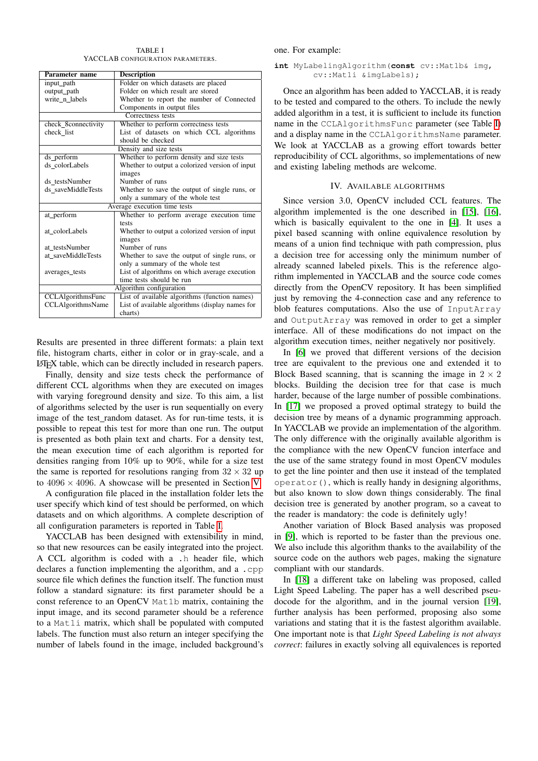TABLE I YACCLAB CONFIGURATION PARAMETERS.

<span id="page-2-1"></span>

| Parameter name           | <b>Description</b>                              |  |  |  |  |
|--------------------------|-------------------------------------------------|--|--|--|--|
| input_path               | Folder on which datasets are placed             |  |  |  |  |
| output_path              | Folder on which result are stored               |  |  |  |  |
| write n labels           | Whether to report the number of Connected       |  |  |  |  |
|                          | Components in output files                      |  |  |  |  |
|                          | Correctness tests                               |  |  |  |  |
| check_8connectivity      | Whether to perform correctness tests            |  |  |  |  |
| check list               | List of datasets on which CCL algorithms        |  |  |  |  |
|                          | should be checked                               |  |  |  |  |
|                          | Density and size tests                          |  |  |  |  |
| ds_perform               | Whether to perform density and size tests       |  |  |  |  |
| ds colorLabels           | Whether to output a colorized version of input  |  |  |  |  |
|                          | images                                          |  |  |  |  |
| ds testsNumber           | Number of runs                                  |  |  |  |  |
| ds saveMiddleTests       | Whether to save the output of single runs, or   |  |  |  |  |
|                          | only a summary of the whole test                |  |  |  |  |
|                          | Average execution time tests                    |  |  |  |  |
| at_perform               | Whether to perform average execution time       |  |  |  |  |
|                          | tests                                           |  |  |  |  |
| at colorLabels           | Whether to output a colorized version of input  |  |  |  |  |
|                          | images                                          |  |  |  |  |
| at testsNumber           | Number of runs                                  |  |  |  |  |
| at saveMiddleTests       | Whether to save the output of single runs, or   |  |  |  |  |
|                          | only a summary of the whole test                |  |  |  |  |
| averages_tests           | List of algorithms on which average execution   |  |  |  |  |
|                          | time tests should be run                        |  |  |  |  |
| Algorithm configuration  |                                                 |  |  |  |  |
| <b>CCLAlgorithmsFunc</b> | List of available algorithms (function names)   |  |  |  |  |
| <b>CCLAlgorithmsName</b> | List of available algorithms (display names for |  |  |  |  |
|                          | charts)                                         |  |  |  |  |

Results are presented in three different formats: a plain text file, histogram charts, either in color or in gray-scale, and a LATEX table, which can be directly included in research papers.

Finally, density and size tests check the performance of different CCL algorithms when they are executed on images with varying foreground density and size. To this aim, a list of algorithms selected by the user is run sequentially on every image of the test\_random dataset. As for run-time tests, it is possible to repeat this test for more than one run. The output is presented as both plain text and charts. For a density test, the mean execution time of each algorithm is reported for densities ranging from 10% up to 90%, while for a size test the same is reported for resolutions ranging from  $32 \times 32$  up to  $4096 \times 4096$ . A showcase will be presented in Section [V.](#page-3-0)

A configuration file placed in the installation folder lets the user specify which kind of test should be performed, on which datasets and on which algorithms. A complete description of all configuration parameters is reported in Table [I.](#page-2-1)

YACCLAB has been designed with extensibility in mind, so that new resources can be easily integrated into the project. A CCL algorithm is coded with a .h header file, which declares a function implementing the algorithm, and a .cpp source file which defines the function itself. The function must follow a standard signature: its first parameter should be a const reference to an OpenCV Mat1b matrix, containing the input image, and its second parameter should be a reference to a Mat1i matrix, which shall be populated with computed labels. The function must also return an integer specifying the number of labels found in the image, included background's

one. For example:

#### **int** MyLabelingAlgorithm(**const** cv::Mat1b& img, cv::Mat1i &imgLabels);

Once an algorithm has been added to YACCLAB, it is ready to be tested and compared to the others. To include the newly added algorithm in a test, it is sufficient to include its function name in the CCLAlgorithmsFunc parameter (see Table [I\)](#page-2-1) and a display name in the CCLAlgorithmsName parameter. We look at YACCLAB as a growing effort towards better reproducibility of CCL algorithms, so implementations of new and existing labeling methods are welcome.

## IV. AVAILABLE ALGORITHMS

<span id="page-2-0"></span>Since version 3.0, OpenCV included CCL features. The algorithm implemented is the one described in [\[15\]](#page-5-15), [\[16\]](#page-5-16), which is basically equivalent to the one in [\[4\]](#page-5-4). It uses a pixel based scanning with online equivalence resolution by means of a union find technique with path compression, plus a decision tree for accessing only the minimum number of already scanned labeled pixels. This is the reference algorithm implemented in YACCLAB and the source code comes directly from the OpenCV repository. It has been simplified just by removing the 4-connection case and any reference to blob features computations. Also the use of InputArray and OutputArray was removed in order to get a simpler interface. All of these modifications do not impact on the algorithm execution times, neither negatively nor positively.

In [\[6\]](#page-5-6) we proved that different versions of the decision tree are equivalent to the previous one and extended it to Block Based scanning, that is scanning the image in  $2 \times 2$ blocks. Building the decision tree for that case is much harder, because of the large number of possible combinations. In [\[17\]](#page-5-17) we proposed a proved optimal strategy to build the decision tree by means of a dynamic programming approach. In YACCLAB we provide an implementation of the algorithm. The only difference with the originally available algorithm is the compliance with the new OpenCV funcion interface and the use of the same strategy found in most OpenCV modules to get the line pointer and then use it instead of the templated operator(), which is really handy in designing algorithms, but also known to slow down things considerably. The final decision tree is generated by another program, so a caveat to the reader is mandatory: the code is definitely ugly!

Another variation of Block Based analysis was proposed in [\[9\]](#page-5-9), which is reported to be faster than the previous one. We also include this algorithm thanks to the availability of the source code on the authors web pages, making the signature compliant with our standards.

In [\[18\]](#page-5-18) a different take on labeling was proposed, called Light Speed Labeling. The paper has a well described pseudocode for the algorithm, and in the journal version [\[19\]](#page-5-19), further analysis has been performed, proposing also some variations and stating that it is the fastest algorithm available. One important note is that *Light Speed Labeling is not always correct*: failures in exactly solving all equivalences is reported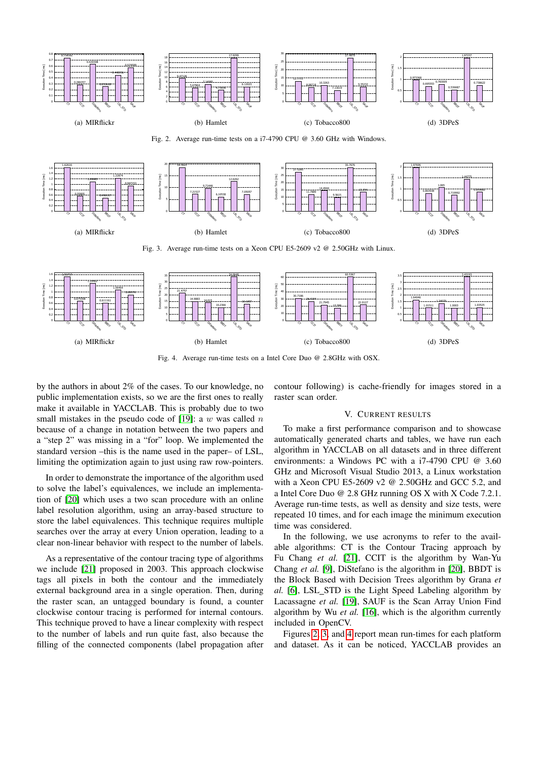



**O** LSL\_STD SAUF

0

 $\mathcal{O}$ O,

<span id="page-3-2"></span>Fig. 3. Average run-time tests on a Xeon CPU E5-2609 v2 @ 2.50GHz with Linux.

0

 $\circ$  $^{\circ\circ}$ DiStefano BBDT LR\_STD SAUF

(c) Tobacco800



<span id="page-3-3"></span>Fig. 4. Average run-time tests on a Intel Core Duo @ 2.8GHz with OSX.

by the authors in about 2% of the cases. To our knowledge, no public implementation exists, so we are the first ones to really make it available in YACCLAB. This is probably due to two small mistakes in the pseudo code of [\[19\]](#page-5-19): a  $w$  was called  $n$ because of a change in notation between the two papers and a "step 2" was missing in a "for" loop. We implemented the standard version –this is the name used in the paper– of LSL, limiting the optimization again to just using raw row-pointers.

<span id="page-3-1"></span>0

 $\circ$ V DiStefanc BBDT La St SAUF

(b) Hamlet

In order to demonstrate the importance of the algorithm used to solve the label's equivalences, we include an implementation of [\[20\]](#page-5-20) which uses a two scan procedure with an online label resolution algorithm, using an array-based structure to store the label equivalences. This technique requires multiple searches over the array at every Union operation, leading to a clear non-linear behavior with respect to the number of labels.

As a representative of the contour tracing type of algorithms we include [\[21\]](#page-5-21) proposed in 2003. This approach clockwise tags all pixels in both the contour and the immediately external background area in a single operation. Then, during the raster scan, an untagged boundary is found, a counter clockwise contour tracing is performed for internal contours. This technique proved to have a linear complexity with respect to the number of labels and run quite fast, also because the filling of the connected components (label propagation after

contour following) is cache-friendly for images stored in a raster scan order.

0

 $\circ$  $^{\circ\circ}$ Distemb BBDT LR DD SAU

(d) 3DPeS

# V. CURRENT RESULTS

<span id="page-3-0"></span>To make a first performance comparison and to showcase automatically generated charts and tables, we have run each algorithm in YACCLAB on all datasets and in three different environments: a Windows PC with a i7-4790 CPU @ 3.60 GHz and Microsoft Visual Studio 2013, a Linux workstation with a Xeon CPU E5-2609 v2 @ 2.50GHz and GCC 5.2, and a Intel Core Duo @ 2.8 GHz running OS X with X Code 7.2.1. Average run-time tests, as well as density and size tests, were repeated 10 times, and for each image the minimum execution time was considered.

In the following, we use acronyms to refer to the available algorithms: CT is the Contour Tracing approach by Fu Chang *et al.* [\[21\]](#page-5-21), CCIT is the algorithm by Wan-Yu Chang *et al.* [\[9\]](#page-5-9), DiStefano is the algorithm in [\[20\]](#page-5-20), BBDT is the Block Based with Decision Trees algorithm by Grana *et al.* [\[6\]](#page-5-6), LSL STD is the Light Speed Labeling algorithm by Lacassagne *et al.* [\[19\]](#page-5-19), SAUF is the Scan Array Union Find algorithm by Wu *et al.* [\[16\]](#page-5-16), which is the algorithm currently included in OpenCV.

Figures [2,](#page-3-1) [3,](#page-3-2) and [4](#page-3-3) report mean run-times for each platform and dataset. As it can be noticed, YACCLAB provides an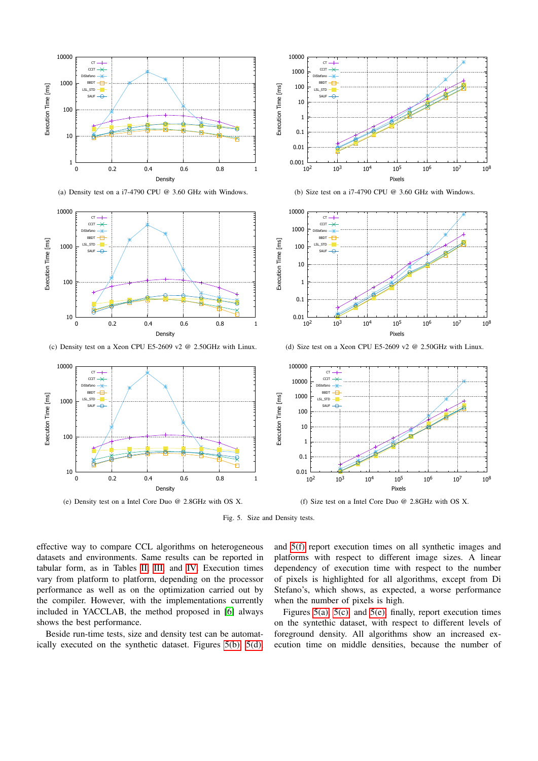<span id="page-4-3"></span>

(a) Density test on a i7-4790 CPU @ 3.60 GHz with Windows.

<span id="page-4-4"></span>

<span id="page-4-5"></span>(c) Density test on a Xeon CPU E5-2609 v2 @ 2.50GHz with Linux.



<span id="page-4-0"></span>(b) Size test on a i7-4790 CPU @ 3.60 GHz with Windows.

<span id="page-4-1"></span>



<span id="page-4-2"></span>Fig. 5. Size and Density tests.

effective way to compare CCL algorithms on heterogeneous datasets and environments. Same results can be reported in tabular form, as in Tables [II,](#page-5-22) [III,](#page-5-23) and [IV.](#page-5-24) Execution times vary from platform to platform, depending on the processor performance as well as on the optimization carried out by the compiler. However, with the implementations currently included in YACCLAB, the method proposed in [\[6\]](#page-5-6) always shows the best performance.

10

100

1000

Execution Time [ms]

Execution Time [ms]

10000

 $\sigma$ CCIT DiStefano BBDT SL\_STD SAUF

Beside run-time tests, size and density test can be automatically executed on the synthetic dataset. Figures [5\(b\),](#page-4-0) [5\(d\),](#page-4-1) and [5\(f\)](#page-4-2) report execution times on all synthetic images and platforms with respect to different image sizes. A linear dependency of execution time with respect to the number of pixels is highlighted for all algorithms, except from Di Stefano's, which shows, as expected, a worse performance when the number of pixels is high.

Figures [5\(a\),](#page-4-3) [5\(c\),](#page-4-4) and [5\(e\),](#page-4-5) finally, report execution times on the syntethic dataset, with respect to different levels of foreground density. All algorithms show an increased execution time on middle densities, because the number of